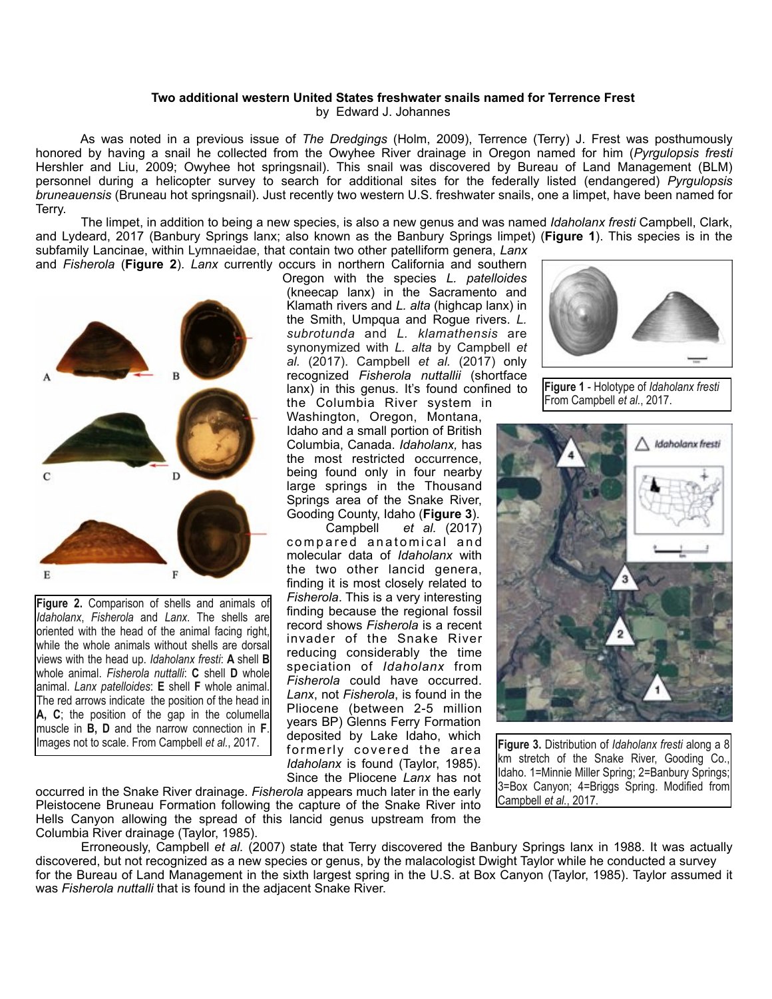## **Two additional western United States freshwater snails named for Terrence Frest**

by Edward J. Johannes

 As was noted in a previous issue of *The Dredgings* (Holm, 2009), Terrence (Terry) J. Frest was posthumously honored by having a snail he collected from the Owyhee River drainage in Oregon named for him (*Pyrgulopsis fresti* Hershler and Liu, 2009; Owyhee hot springsnail). This snail was discovered by Bureau of Land Management (BLM) personnel during a helicopter survey to search for additional sites for the federally listed (endangered) *Pyrgulopsis bruneauensis* (Bruneau hot springsnail). Just recently two western U.S. freshwater snails, one a limpet, have been named for Terry.

 The limpet, in addition to being a new species, is also a new genus and was named *Idaholanx fresti* Campbell, Clark, and Lydeard, 2017 (Banbury Springs lanx; also known as the Banbury Springs limpet) (**Figure 1**). This species is in the subfamily Lancinae, within Lymnaeidae, that contain two other patelliform genera, *Lanx*



**Figure 2.** Comparison of shells and animals of *Idaholanx*, *Fisherola* and *Lanx*. The shells are oriented with the head of the animal facing right, while the whole animals without shells are dorsal views with the head up. *Idaholanx fresti*: **A** shell **B**  whole animal. *Fisherola nuttalli*: **C** shell **D** whole animal. *Lanx patelloides*: **E** shell **F** whole animal. The red arrows indicate the position of the head in **A, C**; the position of the gap in the columella muscle in **B, D** and the narrow connection in **F**.

Oregon with the species *L. patelloides* (kneecap lanx) in the Sacramento and Klamath rivers and *L. alta* (highcap lanx) in the Smith, Umpqua and Rogue rivers. *L. subrotunda* and *L. klamathensis* are synonymized with *L. alta* by Campbell *et al.* (2017). Campbell *et al.* (2017) only recognized *Fisherola nuttallii* (shortface lanx) in this genus. It's found confined to the Columbia River system in

Washington, Oregon, Montana, Idaho and a small portion of British Columbia, Canada. *Idaholanx,* has the most restricted occurrence, being found only in four nearby large springs in the Thousand Springs area of the Snake River, Gooding County, Idaho (**Figure 3**).

 Campbell *et al.* (2017) compared anatomical and molecular data of *Idaholanx* with the two other lancid genera, finding it is most closely related to *Fisherola*. This is a very interesting finding because the regional fossil record shows *Fisherola* is a recent invader of the Snake River reducing considerably the time speciation of *Idaholanx* from *Fisherola* could have occurred. *Lanx*, not *Fisherola*, is found in the Pliocene (between 2-5 million years BP) Glenns Ferry Formation deposited by Lake Idaho, which formerly covered the area *Idaholanx* is found (Taylor, 1985). Since the Pliocene *Lanx* has not





**Figure 1** - Holotype of *Idaholanx fresti* From Campbell *et al.*, 2017.



Figure 3. Distribution of *Idaholanx fresti* along a 8 km stretch of the Snake River, Gooding Co., Idaho. 1=Minnie Miller Spring; 2=Banbury Springs; 3=Box Canyon; 4=Briggs Spring. Modified from Campbell *et al.*, 2017.

 Erroneously, Campbell *et al.* (2007) state that Terry discovered the Banbury Springs lanx in 1988. It was actually discovered, but not recognized as a new species or genus, by the malacologist Dwight Taylor while he conducted a survey for the Bureau of Land Management in the sixth largest spring in the U.S. at Box Canyon (Taylor, 1985). Taylor assumed it was *Fisherola nuttalli* that is found in the adjacent Snake River.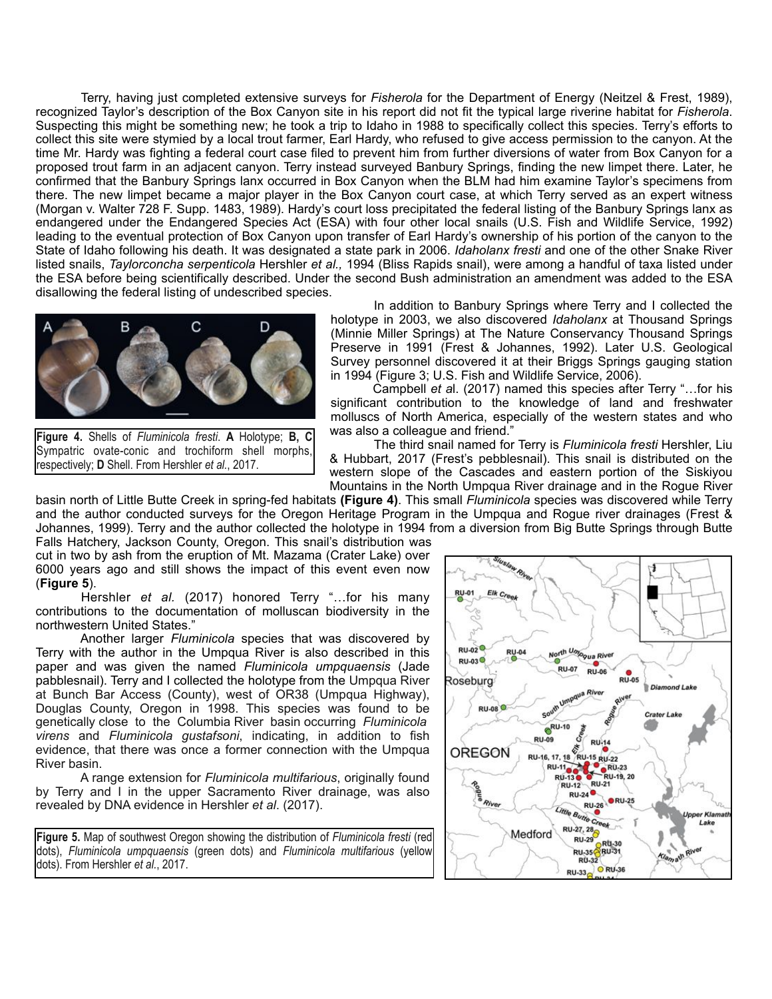Terry, having just completed extensive surveys for *Fisherola* for the Department of Energy (Neitzel & Frest, 1989), recognized Taylor's description of the Box Canyon site in his report did not fit the typical large riverine habitat for *Fisherola*. Suspecting this might be something new; he took a trip to Idaho in 1988 to specifically collect this species. Terry's efforts to collect this site were stymied by a local trout farmer, Earl Hardy, who refused to give access permission to the canyon. At the time Mr. Hardy was fighting a federal court case filed to prevent him from further diversions of water from Box Canyon for a proposed trout farm in an adjacent canyon. Terry instead surveyed Banbury Springs, finding the new limpet there. Later, he confirmed that the Banbury Springs lanx occurred in Box Canyon when the BLM had him examine Taylor's specimens from there. The new limpet became a major player in the Box Canyon court case, at which Terry served as an expert witness (Morgan v. Walter 728 F. Supp. 1483, 1989). Hardy's court loss precipitated the federal listing of the Banbury Springs lanx as endangered under the Endangered Species Act (ESA) with four other local snails (U.S. Fish and Wildlife Service, 1992) leading to the eventual protection of Box Canyon upon transfer of Earl Hardy's ownership of his portion of the canyon to the State of Idaho following his death. It was designated a state park in 2006. *Idaholanx fresti* and one of the other Snake River listed snails, *Taylorconcha serpenticola* Hershler *et al.,* 1994 (Bliss Rapids snail), were among a handful of taxa listed under the ESA before being scientifically described. Under the second Bush administration an amendment was added to the ESA disallowing the federal listing of undescribed species.



**Figure 4.** Shells of *Fluminicola fresti*. **A** Holotype; **B, C**  Sympatric ovate-conic and trochiform shell morphs, respectively; **D** Shell. From Hershler *et al.*, 2017.

 In addition to Banbury Springs where Terry and I collected the holotype in 2003, we also discovered *Idaholanx* at Thousand Springs (Minnie Miller Springs) at The Nature Conservancy Thousand Springs Preserve in 1991 (Frest & Johannes, 1992). Later U.S. Geological Survey personnel discovered it at their Briggs Springs gauging station in 1994 (Figure 3; U.S. Fish and Wildlife Service, 2006).

 Campbell *et a*l. (2017) named this species after Terry "…for his significant contribution to the knowledge of land and freshwater molluscs of North America, especially of the western states and who was also a colleague and friend."

 The third snail named for Terry is *Fluminicola fresti* Hershler, Liu & Hubbart, 2017 (Frest's pebblesnail). This snail is distributed on the western slope of the Cascades and eastern portion of the Siskiyou Mountains in the North Umpqua River drainage and in the Rogue River

basin north of Little Butte Creek in spring-fed habitats **(Figure 4)**. This small *Fluminicola* species was discovered while Terry and the author conducted surveys for the Oregon Heritage Program in the Umpqua and Rogue river drainages (Frest & Johannes, 1999). Terry and the author collected the holotype in 1994 from a diversion from Big Butte Springs through Butte

Falls Hatchery, Jackson County, Oregon. This snail's distribution was cut in two by ash from the eruption of Mt. Mazama (Crater Lake) over 6000 years ago and still shows the impact of this event even now (**Figure 5**).

 Hershler *et al.* (2017) honored Terry "…for his many contributions to the documentation of molluscan biodiversity in the northwestern United States."

Another larger *Fluminicola* species that was discovered by Terry with the author in the Umpqua River is also described in this paper and was given the named *Fluminicola umpquaensis* (Jade pabblesnail). Terry and I collected the holotype from the Umpqua River at Bunch Bar Access (County), west of OR38 (Umpqua Highway), Douglas County, Oregon in 1998. This species was found to be genetically close to the Columbia River basin occurring *Fluminicola virens* and *Fluminicola gustafsoni*, indicating, in addition to fish evidence, that there was once a former connection with the Umpqua River basin.

A range extension for *Fluminicola multifarious*, originally found by Terry and I in the upper Sacramento River drainage, was also revealed by DNA evidence in Hershler *et al*. (2017).

**Figure 5.** Map of southwest Oregon showing the distribution of *Fluminicola fresti* (red dots), *Fluminicola umpquaensis* (green dots) and *Fluminicola multifarious* (yellow dots). From Hershler *et al.*, 2017.